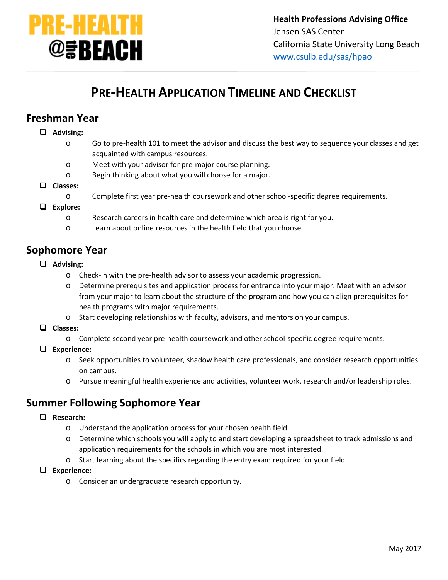

# **PRE-HEALTH APPLICATION TIMELINE AND CHECKLIST**

## **Freshman Year**

#### **Advising:**

- o Go to pre-health 101 to meet the advisor and discuss the best way to sequence your classes and get acquainted with campus resources.
- o Meet with your advisor for pre-major course planning.
- o Begin thinking about what you will choose for a major.

#### **Classes:**

o Complete first year pre-health coursework and other school-specific degree requirements.

#### **Explore:**

- o Research careers in health care and determine which area is right for you.
- o Learn about online resources in the health field that you choose.

### **Sophomore Year**

- **Advising:**
	- o Check-in with the pre-health advisor to assess your academic progression.
	- o Determine prerequisites and application process for entrance into your major. Meet with an advisor from your major to learn about the structure of the program and how you can align prerequisites for health programs with major requirements.
	- o Start developing relationships with faculty, advisors, and mentors on your campus.
- **Classes:**
	- o Complete second year pre-health coursework and other school-specific degree requirements.
- **Experience:**
	- o Seek opportunities to volunteer, shadow health care professionals, and consider research opportunities on campus.
	- o Pursue meaningful health experience and activities, volunteer work, research and/or leadership roles.

## **Summer Following Sophomore Year**

- **Research:**
	- o Understand the application process for your chosen health field.
	- o Determine which schools you will apply to and start developing a spreadsheet to track admissions and application requirements for the schools in which you are most interested.
	- o Start learning about the specifics regarding the entry exam required for your field.
- **Experience:**
	- o Consider an undergraduate research opportunity.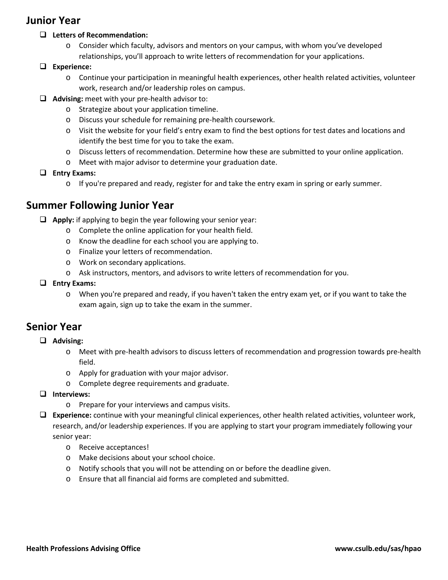## **Junior Year**

### **Letters of Recommendation:**

- o Consider which faculty, advisors and mentors on your campus, with whom you've developed relationships, you'll approach to write letters of recommendation for your applications.
- **Experience:**
	- o Continue your participation in meaningful health experiences, other health related activities, volunteer work, research and/or leadership roles on campus.
- **Advising:** meet with your pre-health advisor to:
	- o Strategize about your application timeline.
	- o Discuss your schedule for remaining pre-health coursework.
	- o Visit the website for your field's entry exam to find the best options for test dates and locations and identify the best time for you to take the exam.
	- o Discuss letters of recommendation. Determine how these are submitted to your online application.
	- o Meet with major advisor to determine your graduation date.
- **Entry Exams:**
	- o If you're prepared and ready, register for and take the entry exam in spring or early summer.

## **Summer Following Junior Year**

- **Apply:** if applying to begin the year following your senior year:
	- o Complete the online application for your health field.
	- o Know the deadline for each school you are applying to.
	- o Finalize your letters of recommendation.
	- o Work on secondary applications.
	- o Ask instructors, mentors, and advisors to write letters of recommendation for you.

### **Entry Exams:**

o When you're prepared and ready, if you haven't taken the entry exam yet, or if you want to take the exam again, sign up to take the exam in the summer.

## **Senior Year**

### **Advising:**

- o Meet with pre-health advisors to discuss letters of recommendation and progression towards pre-health field.
- o Apply for graduation with your major advisor.
- o Complete degree requirements and graduate.
- **Interviews:**
	- o Prepare for your interviews and campus visits.
- **Experience:** continue with your meaningful clinical experiences, other health related activities, volunteer work, research, and/or leadership experiences. If you are applying to start your program immediately following your senior year:
	- o Receive acceptances!
	- o Make decisions about your school choice.
	- o Notify schools that you will not be attending on or before the deadline given.
	- o Ensure that all financial aid forms are completed and submitted.